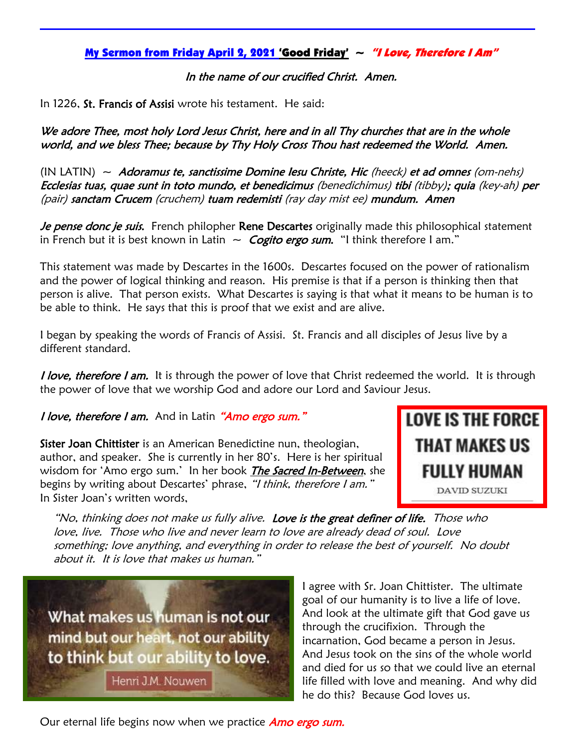## My Sermon from Friday April 2, 2021 'Good Friday'  $\sim$  "I Love, Therefore I Am"

In the name of our crucified Christ. Amen.

In 1226, St. Francis of Assisi wrote his testament. He said:

We adore Thee, most holy Lord Jesus Christ, here and in all Thy churches that are in the whole world, and we bless Thee; because by Thy Holy Cross Thou hast redeemed the World. Amen.

 $(IN LATIN) ~\sim ~ Adoramus$  te, sanctissime Domine Iesu Christe, Hic (heeck) et ad omnes (om-nehs) Ecclesias tuas, quae sunt in toto mundo, et benedicimus (benedichimus) tibi (tibby); quia (key-ah) per (pair) sanctam Crucem (cruchem) tuam redemisti (ray day mist ee) mundum. Amen

Je pense donc je suis. French philopher Rene Descartes originally made this philosophical statement in French but it is best known in Latin  $\sim$  Cogito ergo sum. "I think therefore I am."

This statement was made by Descartes in the 1600s. Descartes focused on the power of rationalism and the power of logical thinking and reason. His premise is that if a person is thinking then that person is alive. That person exists. What Descartes is saying is that what it means to be human is to be able to think. He says that this is proof that we exist and are alive.

I began by speaking the words of Francis of Assisi. St. Francis and all disciples of Jesus live by a different standard.

*I love, therefore I am.* It is through the power of love that Christ redeemed the world. It is through the power of love that we worship God and adore our Lord and Saviour Jesus.

I love, therefore I am. And in Latin "Amo ergo sum."

Sister Joan Chittister is an American Benedictine nun, theologian, author, and speaker. She is currently in her 80's. Here is her spiritual wisdom for 'Amo ergo sum.' In her book The Sacred In-Between, she begins by writing about Descartes' phrase, "I think, therefore I am." In Sister Joan's written words,



"No, thinking does not make us fully alive. Love is the great definer of life. Those who love, live. Those who live and never learn to love are already dead of soul. Love something; love anything, and everything in order to release the best of yourself. No doubt about it. It is love that makes us human."

What makes us human is not our mind but our heart, not our ability to think but our ability to love.

Henri J.M. Nouwen

I agree with Sr. Joan Chittister. The ultimate goal of our humanity is to live a life of love. And look at the ultimate gift that God gave us through the crucifixion. Through the incarnation, God became a person in Jesus. And Jesus took on the sins of the whole world and died for us so that we could live an eternal life filled with love and meaning. And why did he do this? Because God loves us.

Our eternal life begins now when we practice **Amo ergo sum.**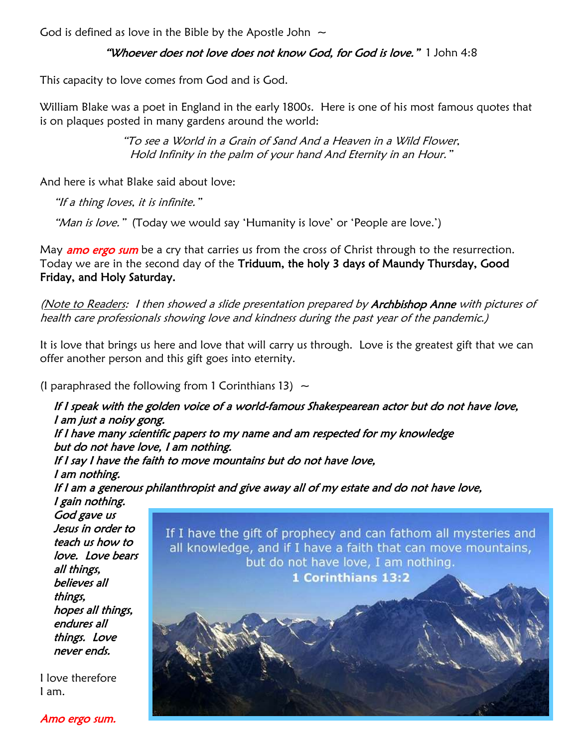God is defined as love in the Bible by the Apostle John  $\sim$ 

## "Whoever does not love does not know God, for God is love." 1 John 4:8

This capacity to love comes from God and is God.

William Blake was a poet in England in the early 1800s. Here is one of his most famous quotes that is on plaques posted in many gardens around the world:

> "To see a World in a Grain of Sand And a Heaven in a Wild Flower, Hold Infinity in the palm of your hand And Eternity in an Hour."

And here is what Blake said about love:

"If a thing loves, it is infinite."

"Man is love." (Today we would say 'Humanity is love' or 'People are love.')

May **amo ergo sum** be a cry that carries us from the cross of Christ through to the resurrection. Today we are in the second day of the Triduum, the holy 3 days of Maundy Thursday, Good Friday, and Holy Saturday.

(Note to Readers: I then showed a slide presentation prepared by Archbishop Anne with pictures of health care professionals showing love and kindness during the past year of the pandemic.)

It is love that brings us here and love that will carry us through. Love is the greatest gift that we can offer another person and this gift goes into eternity.

(I paraphrased the following from 1 Corinthians 13)  $\sim$ 



Amo ergo sum.